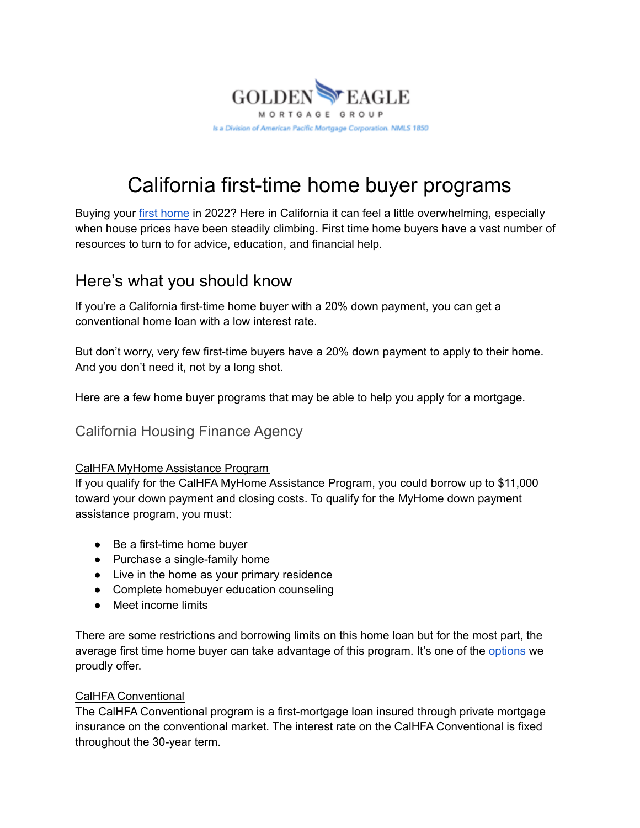

# California first-time home buyer programs

Buying your first [home](https://goldeneaglemortgagegroup.com/purchase/) in 2022? Here in California it can feel a little overwhelming, especially when house prices have been steadily climbing. First time home buyers have a vast number of resources to turn to for advice, education, and financial help.

## Here's what you should know

If you're a California first-time home buyer with a 20% down payment, you can get a conventional home loan with a low interest rate.

But don't worry, very few first-time buyers have a 20% down payment to apply to their home. And you don't need it, not by a long shot.

Here are a few home buyer programs that may be able to help you apply for a mortgage.

California Housing Finance Agency

### CalHFA MyHome Assistance Program

If you qualify for the CalHFA MyHome Assistance Program, you could borrow up to \$11,000 toward your down payment and closing costs. To qualify for the MyHome down payment assistance program, you must:

- Be a first-time home buyer
- Purchase a single-family home
- Live in the home as your primary residence
- Complete homebuyer education counseling
- Meet income limits

There are some restrictions and borrowing limits on this home loan but for the most part, the average first time home buyer can take advantage of this program. It's one of the [options](https://goldeneaglemortgagegroup.com/loan-programs/) we proudly offer.

#### CalHFA Conventional

The CalHFA Conventional program is a first-mortgage loan insured through private mortgage insurance on the conventional market. The interest rate on the CalHFA Conventional is fixed throughout the 30-year term.